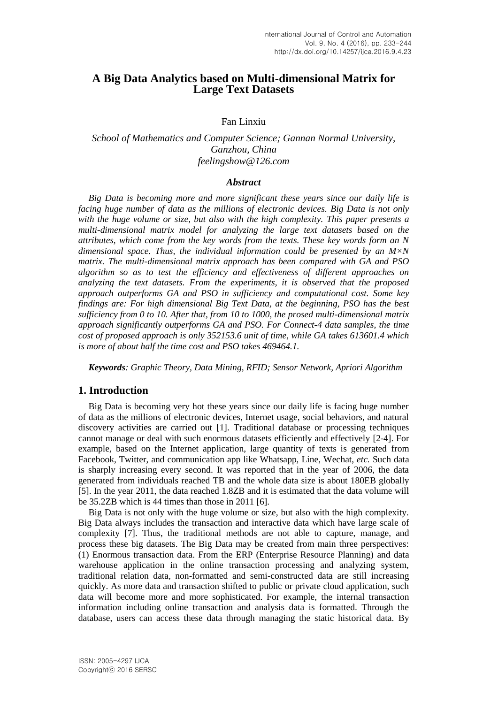## **A Big Data Analytics based on Multi-dimensional Matrix for Large Text Datasets**

### Fan Linxiu

### *School of Mathematics and Computer Science; Gannan Normal University, Ganzhou, China feelingshow@126.com*

#### *Abstract*

*Big Data is becoming more and more significant these years since our daily life is facing huge number of data as the millions of electronic devices. Big Data is not only with the huge volume or size, but also with the high complexity. This paper presents a multi-dimensional matrix model for analyzing the large text datasets based on the attributes, which come from the key words from the texts. These key words form an N dimensional space. Thus, the individual information could be presented by an M×N matrix. The multi-dimensional matrix approach has been compared with GA and PSO algorithm so as to test the efficiency and effectiveness of different approaches on analyzing the text datasets. From the experiments, it is observed that the proposed approach outperforms GA and PSO in sufficiency and computational cost. Some key findings are: For high dimensional Big Text Data, at the beginning, PSO has the best sufficiency from 0 to 10. After that, from 10 to 1000, the prosed multi-dimensional matrix approach significantly outperforms GA and PSO. For Connect-4 data samples, the time cost of proposed approach is only 352153.6 unit of time, while GA takes 613601.4 which is more of about half the time cost and PSO takes 469464.1.*

*Keywords: Graphic Theory, Data Mining, RFID; Sensor Network, Apriori Algorithm*

### **1. Introduction**

Big Data is becoming very hot these years since our daily life is facing huge number of data as the millions of electronic devices, Internet usage, social behaviors, and natural discovery activities are carried out [1]. Traditional database or processing techniques cannot manage or deal with such enormous datasets efficiently and effectively [2-4]. For example, based on the Internet application, large quantity of texts is generated from Facebook, Twitter, and communication app like Whatsapp, Line, Wechat, *etc.* Such data is sharply increasing every second. It was reported that in the year of 2006, the data generated from individuals reached TB and the whole data size is about 180EB globally [5]. In the year 2011, the data reached 1.8ZB and it is estimated that the data volume will be 35.2ZB which is 44 times than those in 2011 [6].

Big Data is not only with the huge volume or size, but also with the high complexity. Big Data always includes the transaction and interactive data which have large scale of complexity [7]. Thus, the traditional methods are not able to capture, manage, and process these big datasets. The Big Data may be created from main three perspectives: (1) Enormous transaction data. From the ERP (Enterprise Resource Planning) and data warehouse application in the online transaction processing and analyzing system, traditional relation data, non-formatted and semi-constructed data are still increasing quickly. As more data and transaction shifted to public or private cloud application, such data will become more and more sophisticated. For example, the internal transaction information including online transaction and analysis data is formatted. Through the database, users can access these data through managing the static historical data. By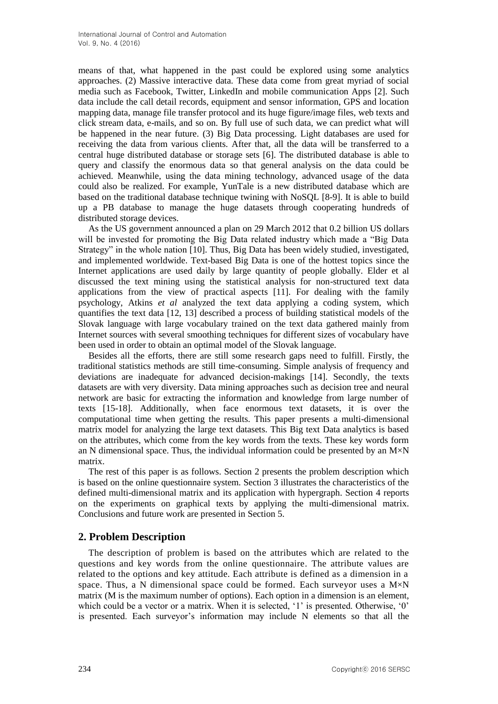means of that, what happened in the past could be explored using some analytics approaches. (2) Massive interactive data. These data come from great myriad of social media such as Facebook, Twitter, LinkedIn and mobile communication Apps [2]. Such data include the call detail records, equipment and sensor information, GPS and location mapping data, manage file transfer protocol and its huge figure/image files, web texts and click stream data, e-mails, and so on. By full use of such data, we can predict what will be happened in the near future. (3) Big Data processing. Light databases are used for receiving the data from various clients. After that, all the data will be transferred to a central huge distributed database or storage sets [6]. The distributed database is able to query and classify the enormous data so that general analysis on the data could be achieved. Meanwhile, using the data mining technology, advanced usage of the data could also be realized. For example, YunTale is a new distributed database which are based on the traditional database technique twining with NoSQL [8-9]. It is able to build up a PB database to manage the huge datasets through cooperating hundreds of distributed storage devices.

As the US government announced a plan on 29 March 2012 that 0.2 billion US dollars will be invested for promoting the Big Data related industry which made a "Big Data Strategy" in the whole nation [10]. Thus, Big Data has been widely studied, investigated, and implemented worldwide. Text-based Big Data is one of the hottest topics since the Internet applications are used daily by large quantity of people globally. Elder et al discussed the text mining using the statistical analysis for non-structured text data applications from the view of practical aspects [11]. For dealing with the family psychology, Atkins *et al* analyzed the text data applying a coding system, which quantifies the text data [12, 13] described a process of building statistical models of the Slovak language with large vocabulary trained on the text data gathered mainly from Internet sources with several smoothing techniques for different sizes of vocabulary have been used in order to obtain an optimal model of the Slovak language.

Besides all the efforts, there are still some research gaps need to fulfill. Firstly, the traditional statistics methods are still time-consuming. Simple analysis of frequency and deviations are inadequate for advanced decision-makings [14]. Secondly, the texts datasets are with very diversity. Data mining approaches such as decision tree and neural network are basic for extracting the information and knowledge from large number of texts [15-18]. Additionally, when face enormous text datasets, it is over the computational time when getting the results. This paper presents a multi-dimensional matrix model for analyzing the large text datasets. This Big text Data analytics is based on the attributes, which come from the key words from the texts. These key words form an N dimensional space. Thus, the individual information could be presented by an  $M \times N$ matrix.

The rest of this paper is as follows. Section 2 presents the problem description which is based on the online questionnaire system. Section 3 illustrates the characteristics of the defined multi-dimensional matrix and its application with hypergraph. Section 4 reports on the experiments on graphical texts by applying the multi-dimensional matrix. Conclusions and future work are presented in Section 5.

# **2. Problem Description**

The description of problem is based on the attributes which are related to the questions and key words from the online questionnaire. The attribute values are related to the options and key attitude. Each attribute is defined as a dimension in a space. Thus, a N dimensional space could be formed. Each surveyor uses a  $M \times N$ matrix (M is the maximum number of options). Each option in a dimension is an element, which could be a vector or a matrix. When it is selected, '1' is presented. Otherwise, '0' is presented. Each surveyor's information may include N elements so that all the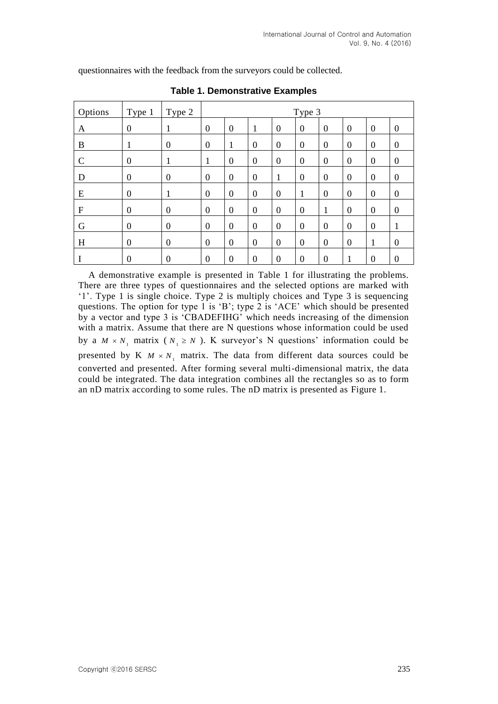Options | Type 1 | Type 2 | Type 3 A 0 1 0 0 1 0 0 0 0 0 0 B 1 0 0 1 0 0 0 0 0 0 0 C 0 1 1 0 0 0 0 0 0 0 0 D 0 0 0 0 0 0 1 0 0 0 0 0 E 0 1 0 0 0 0 1 0 0 0 0 F 0 0 0 0 0 0 0 1 0 0 0 G |0 |0 |0 |0 |0 |0 |0 |0 |0 |0 |1 H |0 |0 |0 |0 |0 |0 |0 |0 |0 |0 |0 |1 |0  $I \t 0 \t 0 \t 0 \t 0 \t 0 \t 0 \t 0 \t 0 \t 1 \t 0 \t 0$ 

questionnaires with the feedback from the surveyors could be collected.

**Table 1. Demonstrative Examples**

A demonstrative example is presented in Table 1 for illustrating the problems. There are three types of questionnaires and the selected options are marked with '1'. Type 1 is single choice. Type 2 is multiply choices and Type 3 is sequencing questions. The option for type 1 is 'B'; type 2 is 'ACE' which should be presented by a vector and type 3 is 'CBADEFIHG' which needs increasing of the dimension with a matrix. Assume that there are N questions whose information could be used by a  $M \times N_1$  matrix ( $N_1 \ge N$ ). K surveyor's N questions' information could be presented by K  $M \times N_1$  matrix. The data from different data sources could be converted and presented. After forming several multi-dimensional matrix, the data could be integrated. The data integration combines all the rectangles so as to form an nD matrix according to some rules. The nD matrix is presented as Figure 1.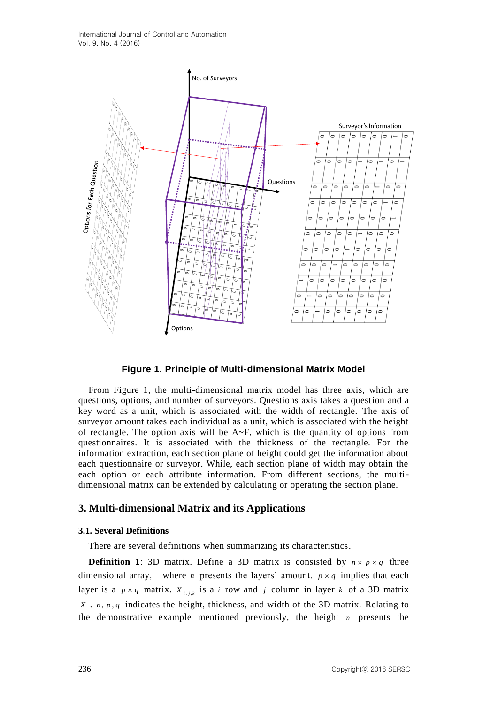

#### **Figure 1. Principle of Multi-dimensional Matrix Model**

From Figure 1, the multi-dimensional matrix model has three axis, which are questions, options, and number of surveyors. Questions axis takes a question and a key word as a unit, which is associated with the width of rectangle. The axis of surveyor amount takes each individual as a unit, which is associated with the height of rectangle. The option axis will be  $A \sim F$ , which is the quantity of options from questionnaires. It is associated with the thickness of the rectangle. For the information extraction, each section plane of height could get the information about each questionnaire or surveyor. While, each section plane of width may obtain the each option or each attribute information. From different sections, the multidimensional matrix can be extended by calculating or operating the section plane.

### **3. Multi-dimensional Matrix and its Applications**

#### **3.1. Several Definitions**

There are several definitions when summarizing its characteristics.

**Definition 1:** 3D matrix. Define a 3D matrix is consisted by  $n \times p \times q$  three dimensional array, where *n* presents the layers' amount.  $p \times q$  implies that each layer is a  $p \times q$  matrix.  $X_{i,j,k}$  is a *i* row and *j* column in layer *k* of a 3D matrix  $X \cdot n$ ,  $p$ ,  $q$  indicates the height, thickness, and width of the 3D matrix. Relating to the demonstrative example mentioned previously, the height *n* presents the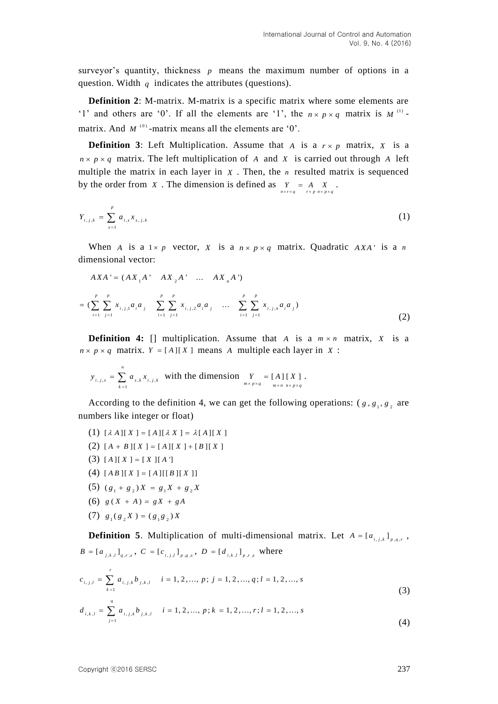surveyor's quantity, thickness  $p$  means the maximum number of options in a question. Width  $q$  indicates the attributes (questions).

**Definition 2**: M-matrix. M-matrix is a specific matrix where some elements are '1' and others are '0'. If all the elements are '1', the  $n \times p \times q$  matrix is M<sup>(1)</sup> matrix. And  $M^{(0)}$ -matrix means all the elements are '0'.

**Definition 3:** Left Multiplication. Assume that A is a  $r \times p$  matrix, X is a  $n \times p \times q$  matrix. The left multiplication of A and X is carried out through A left multiple the matrix in each layer in  $X$ . Then, the  $n$  resulted matrix is sequenced by the order from  $X$ . The dimension is defined as  $Y = A X$ .  $n \times r \times q$   $r \times p$   $n \times p \times q$  $\times r \times q$   $r \times p$   $n \times p \times q$ 

$$
Y_{i,j,k} = \sum_{s=1}^{p} a_{i,s} x_{s,j,k}
$$
 (1)

When A is a  $1 \times p$  vector, X is a  $n \times p \times q$  matrix. Quadratic AXA' is a n dimensional vector:

$$
AXA' = (AX_1A' - AX_2A' - ... - AX_nA')
$$
  
= 
$$
(\sum_{i=1}^{p} \sum_{j=1}^{p} x_{i,j,1}a_i a_j - \sum_{i=1}^{p} \sum_{j=1}^{p} x_{i,j,2}a_i a_j - ... - \sum_{i=1}^{p} \sum_{j=1}^{p} x_{i,j,n}a_i a_j)
$$
 (2)

**Definition 4:** [] multiplication. Assume that A is a  $m \times n$  matrix, X is a  $n \times p \times q$  matrix.  $Y = [A][X]$  means A multiple each layer in X :

$$
y_{i,j,s} = \sum_{k=1}^{n} a_{s,k} x_{i,j,k}
$$
 with the dimension 
$$
\sum_{m \times p \times q} = [A][X]
$$
.

According to the definition 4, we can get the following operations:  $(g, g_1, g_2)$  are numbers like integer or float)

- (1)  $[\lambda A][X] = [A][\lambda X] = \lambda [A][X]$
- (2)  $[A + B][X] = [A][X] + [B][X]$
- $(3) [A][X] = [X][A']$

*n*

- $(4) [AB][X] = [A][[B][X]]$
- (5)  $(g_1 + g_2)X = g_1X + g_2X$
- (6)  $g(X + A) = gX + gA$
- $(7)$   $g_1(g_2 X) = (g_1 g_2) X$

**Definition 5.** Multiplication of multi-dimensional matrix. Let  $A = [a_{i,j,k}]_{p,q,r}$ ,  $B = [a_{i,k,l}]_{q,r,s}$ ,  $C = [c_{i,j,l}]_{p,q,s}$ ,  $D = [d_{i,k,l}]_{p,r,s}$  where

$$
c_{i,j,l} = \sum_{k=1}^{r} a_{i,j,k} b_{j,k,l} \quad i = 1, 2, ..., p; j = 1, 2, ..., q; l = 1, 2, ..., s
$$
\n(3)

(3)  

$$
d_{i,k,l} = \sum_{j=1}^{q} a_{i,j,k} b_{j,k,l} \quad i = 1, 2, ..., p; k = 1, 2, ..., r; l = 1, 2, ..., s
$$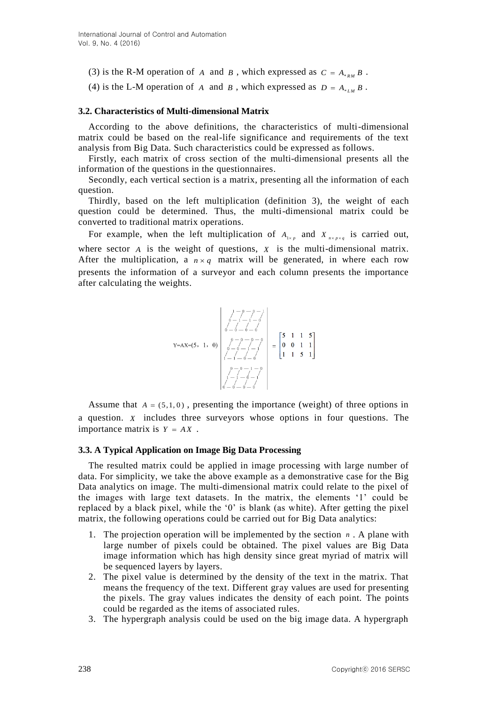- (3) is the R-M operation of A and B, which expressed as  $C = A_{*RM} B$ .
- (4) is the L-M operation of A and B, which expressed as  $D = A_{\epsilon_{LM}} B$ .

#### **3.2. Characteristics of Multi-dimensional Matrix**

According to the above definitions, the characteristics of multi-dimensional matrix could be based on the real-life significance and requirements of the text analysis from Big Data. Such characteristics could be expressed as follows.

Firstly, each matrix of cross section of the multi-dimensional presents all the information of the questions in the questionnaires.

Secondly, each vertical section is a matrix, presenting all the information of each question.

Thirdly, based on the left multiplication (definition 3), the weight of each question could be determined. Thus, the multi-dimensional matrix could be converted to traditional matrix operations.

For example, when the left multiplication of  $A_{1\times p}$  and  $X_{n\times p\times q}$  is carried out, where sector  $\vec{A}$  is the weight of questions,  $\vec{X}$  is the multi-dimensional matrix. After the multiplication, a  $n \times q$  matrix will be generated, in where each row presents the information of a surveyor and each column presents the importance after calculating the weights.

$$
Y = AX = (5, 1, 0)
$$
\n
$$
\begin{bmatrix}\n1 - \rho - \rho - 1 \\
\rho - 1 - 1 - \rho \\
\rho - \rho - \rho - \rho \\
\sigma - \rho - \rho - \rho \\
\sigma - \rho - \rho - \rho \\
\sigma - \rho - \rho - \rho \\
1 - 1 - \rho - \rho \\
\sigma - \rho - \rho - \rho \\
\sigma - \rho - \rho - \rho\n\end{bmatrix} = \begin{bmatrix}\n5 & 1 & 1 & 5 \\
0 & 0 & 1 & 1 \\
0 & 0 & 1 & 1 \\
1 & 1 & 5 & 1\n\end{bmatrix}
$$

Assume that  $A = (5,1,0)$ , presenting the importance (weight) of three options in a question. *X* includes three surveyors whose options in four questions. The importance matrix is  $Y = AX$ .

#### **3.3. A Typical Application on Image Big Data Processing**

The resulted matrix could be applied in image processing with large number of data. For simplicity, we take the above example as a demonstrative case for the Big Data analytics on image. The multi-dimensional matrix could relate to the pixel of the images with large text datasets. In the matrix, the elements '1' could be replaced by a black pixel, while the '0' is blank (as white). After getting the pixel matrix, the following operations could be carried out for Big Data analytics:

- 1. The projection operation will be implemented by the section *n* . A plane with large number of pixels could be obtained. The pixel values are Big Data image information which has high density since great myriad of matrix will be sequenced layers by layers.
- 2. The pixel value is determined by the density of the text in the matrix. That means the frequency of the text. Different gray values are used for presenting the pixels. The gray values indicates the density of each point. The points could be regarded as the items of associated rules.
- 3. The hypergraph analysis could be used on the big image data. A hypergraph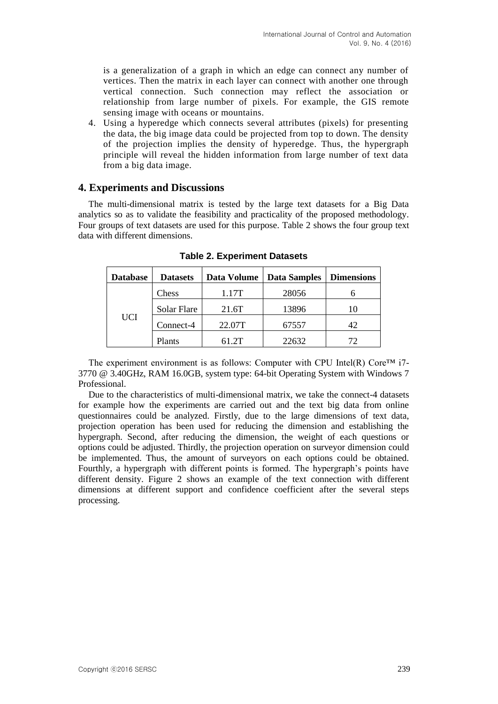is a generalization of a graph in which an edge can connect any number of vertices. Then the matrix in each layer can connect with another one through vertical connection. Such connection may reflect the association or relationship from large number of pixels. For example, the GIS remote sensing image with oceans or mountains.

4. Using a hyperedge which connects several attributes (pixels) for presenting the data, the big image data could be projected from top to down. The density of the projection implies the density of hyperedge. Thus, the hypergraph principle will reveal the hidden information from large number of text data from a big data image.

### **4. Experiments and Discussions**

The multi-dimensional matrix is tested by the large text datasets for a Big Data analytics so as to validate the feasibility and practicality of the proposed methodology. Four groups of text datasets are used for this purpose. Table 2 shows the four group text data with different dimensions.

| <b>Database</b> | <b>Datasets</b> | Data Volume | <b>Data Samples</b> | <b>Dimensions</b> |
|-----------------|-----------------|-------------|---------------------|-------------------|
| <b>UCI</b>      | Chess           | 1.17T       | 28056               |                   |
|                 | Solar Flare     | 21.6T       | 13896               |                   |
|                 | Connect-4       | 22.07T      | 67557               | 42                |
|                 | Plants          | 61.2T       | 22632               |                   |

**Table 2. Experiment Datasets**

The experiment environment is as follows: Computer with CPU Intel(R) Core<sup>TM</sup> i7-3770 @ 3.40GHz, RAM 16.0GB, system type: 64-bit Operating System with Windows 7 Professional.

Due to the characteristics of multi-dimensional matrix, we take the connect-4 datasets for example how the experiments are carried out and the text big data from online questionnaires could be analyzed. Firstly, due to the large dimensions of text data, projection operation has been used for reducing the dimension and establishing the hypergraph. Second, after reducing the dimension, the weight of each questions or options could be adjusted. Thirdly, the projection operation on surveyor dimension could be implemented. Thus, the amount of surveyors on each options could be obtained. Fourthly, a hypergraph with different points is formed. The hypergraph's points have different density. Figure 2 shows an example of the text connection with different dimensions at different support and confidence coefficient after the several steps processing.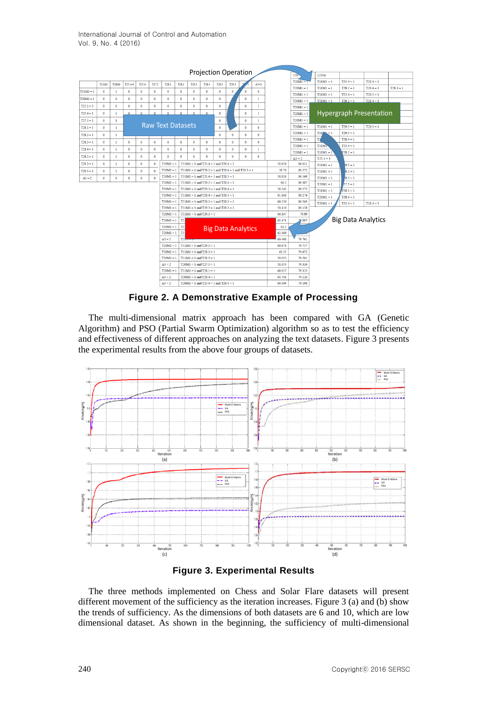

**Figure 2. A Demonstrative Example of Processing**

The multi-dimensional matrix approach has been compared with GA (Genetic Algorithm) and PSO (Partial Swarm Optimization) algorithm so as to test the efficiency and effectiveness of different approaches on analyzing the text datasets. Figure 3 presents the experimental results from the above four groups of datasets.





The three methods implemented on Chess and Solar Flare datasets will present different movement of the sufficiency as the iteration increases. Figure 3 (a) and (b) show the trends of sufficiency. As the dimensions of both datasets are 6 and 10, which are low dimensional dataset. As shown in the beginning, the sufficiency of multi-dimensional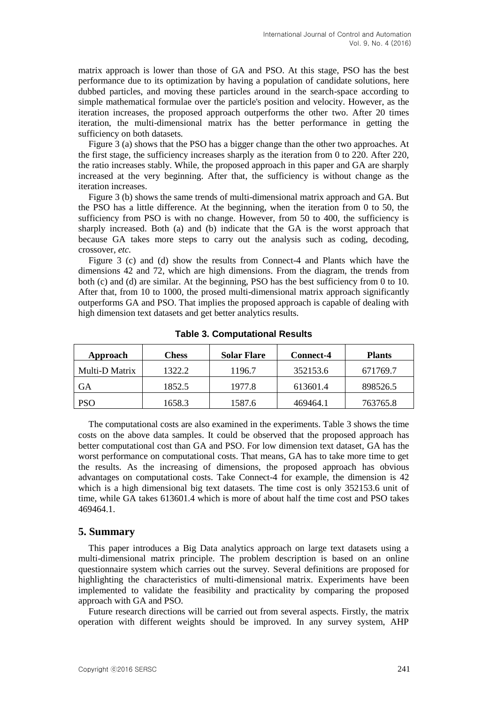matrix approach is lower than those of GA and PSO. At this stage, PSO has the best performance due to its optimization by having a population of candidate solutions, here dubbed particles, and moving these particles around in the search-space according to simple mathematical formulae over the particle's position and velocity. However, as the iteration increases, the proposed approach outperforms the other two. After 20 times iteration, the multi-dimensional matrix has the better performance in getting the sufficiency on both datasets.

Figure 3 (a) shows that the PSO has a bigger change than the other two approaches. At the first stage, the sufficiency increases sharply as the iteration from 0 to 220. After 220, the ratio increases stably. While, the proposed approach in this paper and GA are sharply increased at the very beginning. After that, the sufficiency is without change as the iteration increases.

Figure 3 (b) shows the same trends of multi-dimensional matrix approach and GA. But the PSO has a little difference. At the beginning, when the iteration from 0 to 50, the sufficiency from PSO is with no change. However, from 50 to 400, the sufficiency is sharply increased. Both (a) and (b) indicate that the GA is the worst approach that because GA takes more steps to carry out the analysis such as coding, decoding, crossover, *etc.*

Figure 3 (c) and (d) show the results from Connect-4 and Plants which have the dimensions 42 and 72, which are high dimensions. From the diagram, the trends from both (c) and (d) are similar. At the beginning, PSO has the best sufficiency from 0 to 10. After that, from 10 to 1000, the prosed multi-dimensional matrix approach significantly outperforms GA and PSO. That implies the proposed approach is capable of dealing with high dimension text datasets and get better analytics results.

| Approach       | Chess  | <b>Solar Flare</b> | <b>Connect-4</b> | <b>Plants</b> |
|----------------|--------|--------------------|------------------|---------------|
| Multi-D Matrix | 1322.2 | 1196.7             | 352153.6         | 671769.7      |
| GА             | 1852.5 | 1977.8             | 613601.4         | 898526.5      |
| PSO            | 1658.3 | 1587.6             | 469464.1         | 763765.8      |

**Table 3. Computational Results**

The computational costs are also examined in the experiments. Table 3 shows the time costs on the above data samples. It could be observed that the proposed approach has better computational cost than GA and PSO. For low dimension text dataset, GA has the worst performance on computational costs. That means, GA has to take more time to get the results. As the increasing of dimensions, the proposed approach has obvious advantages on computational costs. Take Connect-4 for example, the dimension is 42 which is a high dimensional big text datasets. The time cost is only 352153.6 unit of time, while GA takes 613601.4 which is more of about half the time cost and PSO takes 469464.1.

#### **5. Summary**

This paper introduces a Big Data analytics approach on large text datasets using a multi-dimensional matrix principle. The problem description is based on an online questionnaire system which carries out the survey. Several definitions are proposed for highlighting the characteristics of multi-dimensional matrix. Experiments have been implemented to validate the feasibility and practicality by comparing the proposed approach with GA and PSO.

Future research directions will be carried out from several aspects. Firstly, the matrix operation with different weights should be improved. In any survey system, AHP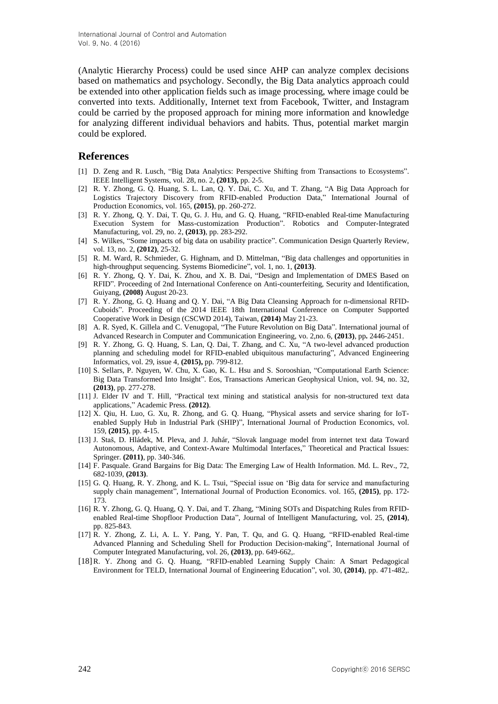(Analytic Hierarchy Process) could be used since AHP can analyze complex decisions based on mathematics and psychology. Secondly, the Big Data analytics approach could be extended into other application fields such as image processing, where image could be converted into texts. Additionally, Internet text from Facebook, Twitter, and Instagram could be carried by the proposed approach for mining more information and knowledge for analyzing different individual behaviors and habits. Thus, potential market margin could be explored.

### **References**

- [1] D. Zeng and R. Lusch, "Big Data Analytics: Perspective Shifting from Transactions to Ecosystems". IEEE Intelligent Systems, vol. 28, no. 2, **(2013),** pp. 2-5.
- [2] R. Y. Zhong, G. Q. Huang, S. L. Lan, Q. Y. Dai, C. Xu, and T. Zhang, "A Big Data Approach for Logistics Trajectory Discovery from RFID-enabled Production Data," International Journal of Production Economics, vol. 165, **(2015)**, pp. 260-272.
- [3] R. Y. Zhong, Q. Y. Dai, T. Qu, G. J. Hu, and G. Q. Huang, "RFID-enabled Real-time Manufacturing Execution System for Mass-customization Production". Robotics and Computer-Integrated Manufacturing, vol. 29, no. 2, **(2013)**, pp. 283-292.
- [4] S. Wilkes, "Some impacts of big data on usability practice". Communication Design Quarterly Review, vol. 13, no. 2, **(2012)**, 25-32.
- [5] R. M. Ward, R. Schmieder, G. Highnam, and D. Mittelman, "Big data challenges and opportunities in high-throughput sequencing. Systems Biomedicine", vol. 1, no. 1, **(2013)**.
- [6] R. Y. Zhong, Q. Y. Dai, K. Zhou, and X. B. Dai, "Design and Implementation of DMES Based on RFID". Proceeding of 2nd International Conference on Anti-counterfeiting, Security and Identification, Guiyang, **(2008)** August 20-23.
- [7] R. Y. Zhong, G. Q. Huang and Q. Y. Dai, "A Big Data Cleansing Approach for n-dimensional RFID-Cuboids". Proceeding of the 2014 IEEE 18th International Conference on Computer Supported Cooperative Work in Design (CSCWD 2014), Taiwan, **(2014)** May 21-23.
- [8] A. R. Syed, K. Gillela and C. Venugopal, "The Future Revolution on Big Data". International journal of Advanced Research in Computer and Communication Engineering, vo. 2,no. 6, **(2013)**, pp**.** 2446-2451.
- [9] R. Y. Zhong, G. Q. Huang, S. Lan, Q. Dai, T. Zhang, and C. Xu, "A two-level advanced production planning and scheduling model for RFID-enabled ubiquitous manufacturing", Advanced Engineering Informatics, vol. 29, issue 4, **(2015),** pp. 799-812.
- [10] S. Sellars, P. Nguyen, W. Chu, X. Gao, K. L. Hsu and S. Sorooshian, "Computational Earth Science: Big Data Transformed Into Insight". Eos, Transactions American Geophysical Union, vol. 94, no. 32, **(2013)**, pp. 277-278.
- [11] J. Elder IV and T. Hill, "Practical text mining and statistical analysis for non-structured text data applications," Academic Press. **(2012)**.
- [12] X. Qiu, H. Luo, G. Xu, R. Zhong, and G. Q. Huang, "Physical assets and service sharing for IoTenabled Supply Hub in Industrial Park (SHIP)", International Journal of Production Economics, vol. 159, **(2015)**, pp. 4-15.
- [13] J. Staš, D. Hládek, M. Pleva, and J. Juhár, "Slovak language model from internet text data Toward Autonomous, Adaptive, and Context-Aware Multimodal Interfaces," Theoretical and Practical Issues: Springer. **(2011)**, pp. 340-346.
- [14] F. Pasquale. Grand Bargains for Big Data: The Emerging Law of Health Information. Md. L. Rev., 72, 682-1039, **(2013)**.
- [15] G. Q. Huang, R. Y. Zhong, and K. L. Tsui, "Special issue on 'Big data for service and manufacturing supply chain management", International Journal of Production Economics. vol. 165, **(2015)**, pp. 172- 173.
- [16] R. Y. Zhong, G. Q. Huang, Q. Y. Dai, and T. Zhang, "Mining SOTs and Dispatching Rules from RFIDenabled Real-time Shopfloor Production Data", Journal of Intelligent Manufacturing, vol. 25, **(2014)**, pp. 825-843.
- [17] R. Y. Zhong, Z. Li, A. L. Y. Pang, Y. Pan, T. Qu, and G. Q. Huang, "RFID-enabled Real-time Advanced Planning and Scheduling Shell for Production Decision-making", International Journal of Computer Integrated Manufacturing, vol. 26, **(2013)**, pp. 649-662,.
- [18]R. Y. Zhong and G. Q. Huang, "RFID-enabled Learning Supply Chain: A Smart Pedagogical Environment for TELD, International Journal of Engineering Education", vol. 30, **(2014)**, pp. 471-482,.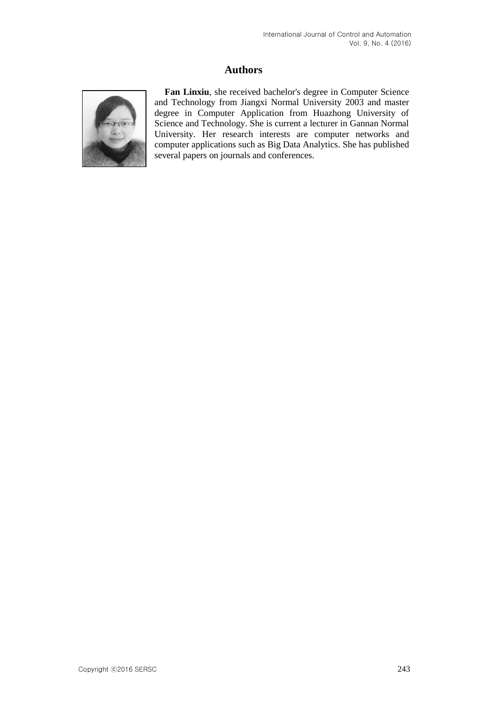# **Authors**



**Fan Linxiu**, she received bachelor's degree in Computer Science and Technology from Jiangxi Normal University 2003 and master degree in Computer Application from Huazhong University of Science and Technology. She is current a lecturer in Gannan Normal University. Her research interests are computer networks and computer applications such as Big Data Analytics. She has published several papers on journals and conferences.